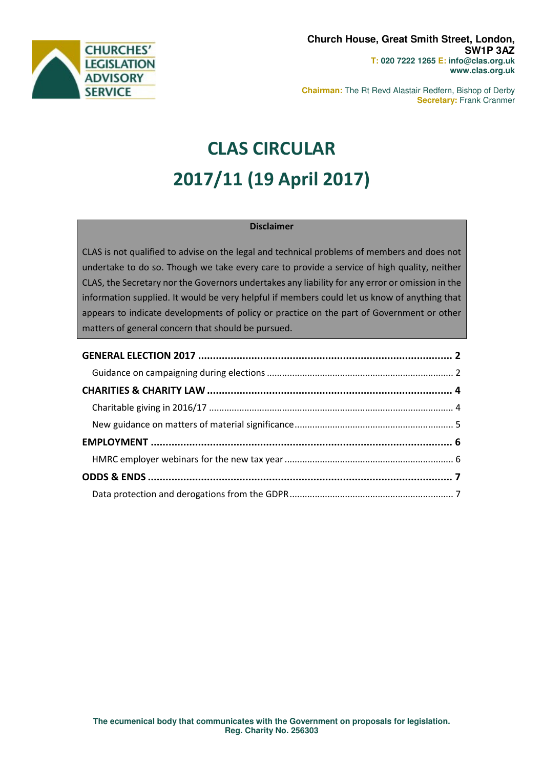

**Chairman:** The Rt Revd Alastair Redfern, Bishop of Derby **Secretary:** Frank Cranmer

# CLAS CIRCULAR 2017/11 (19 April 2017)

## Disclaimer

CLAS is not qualified to advise on the legal and technical problems of members and does not undertake to do so. Though we take every care to provide a service of high quality, neither CLAS, the Secretary nor the Governors undertakes any liability for any error or omission in the information supplied. It would be very helpful if members could let us know of anything that appears to indicate developments of policy or practice on the part of Government or other matters of general concern that should be pursued.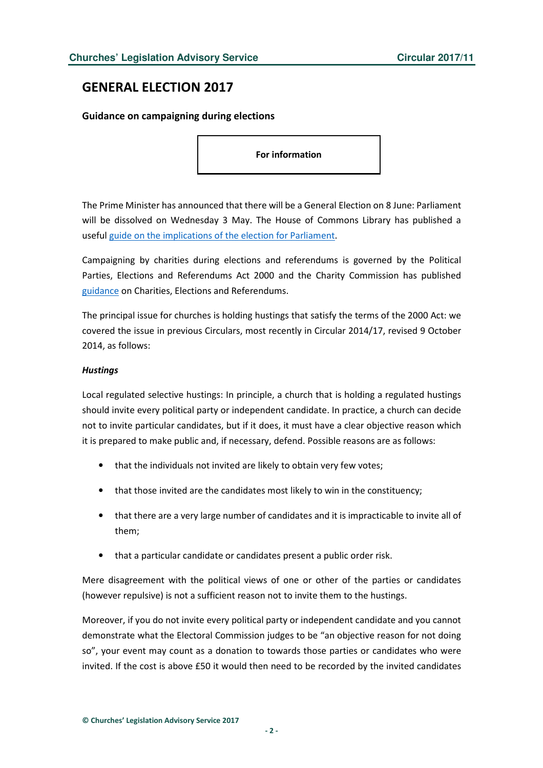# GENERAL ELECTION 2017

## Guidance on campaigning during elections

For information

The Prime Minister has announced that there will be a General Election on 8 June: Parliament will be dissolved on Wednesday 3 May. The House of Commons Library has published a useful guide on the implications of the election for Parliament.

Campaigning by charities during elections and referendums is governed by the Political Parties, Elections and Referendums Act 2000 and the Charity Commission has published guidance on Charities, Elections and Referendums.

The principal issue for churches is holding hustings that satisfy the terms of the 2000 Act: we covered the issue in previous Circulars, most recently in Circular 2014/17, revised 9 October 2014, as follows:

#### **Hustings**

Local regulated selective hustings: In principle, a church that is holding a regulated hustings should invite every political party or independent candidate. In practice, a church can decide not to invite particular candidates, but if it does, it must have a clear objective reason which it is prepared to make public and, if necessary, defend. Possible reasons are as follows:

- that the individuals not invited are likely to obtain very few votes;
- that those invited are the candidates most likely to win in the constituency;
- that there are a very large number of candidates and it is impracticable to invite all of them;
- that a particular candidate or candidates present a public order risk.

Mere disagreement with the political views of one or other of the parties or candidates (however repulsive) is not a sufficient reason not to invite them to the hustings.

Moreover, if you do not invite every political party or independent candidate and you cannot demonstrate what the Electoral Commission judges to be "an objective reason for not doing so", your event may count as a donation to towards those parties or candidates who were invited. If the cost is above £50 it would then need to be recorded by the invited candidates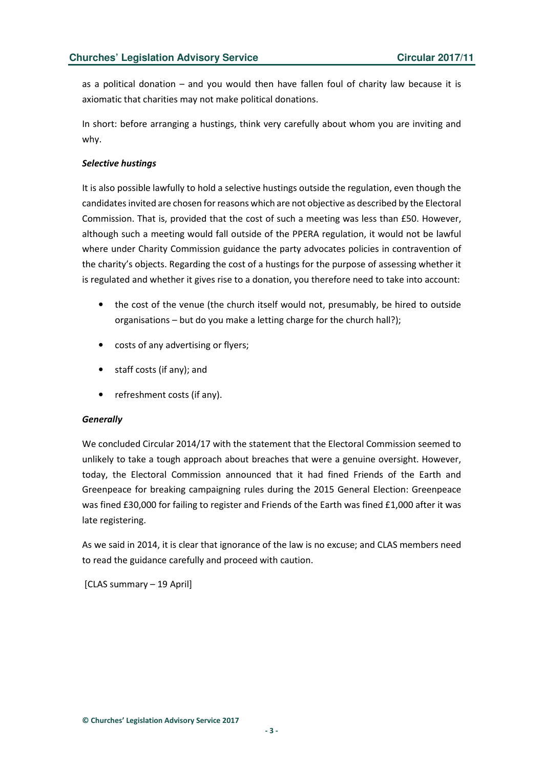as a political donation – and you would then have fallen foul of charity law because it is axiomatic that charities may not make political donations.

In short: before arranging a hustings, think very carefully about whom you are inviting and why.

## Selective hustings

It is also possible lawfully to hold a selective hustings outside the regulation, even though the candidates invited are chosen for reasons which are not objective as described by the Electoral Commission. That is, provided that the cost of such a meeting was less than £50. However, although such a meeting would fall outside of the PPERA regulation, it would not be lawful where under Charity Commission guidance the party advocates policies in contravention of the charity's objects. Regarding the cost of a hustings for the purpose of assessing whether it is regulated and whether it gives rise to a donation, you therefore need to take into account:

- the cost of the venue (the church itself would not, presumably, be hired to outside organisations – but do you make a letting charge for the church hall?);
- costs of any advertising or flyers;
- staff costs (if any); and
- refreshment costs (if any).

#### **Generally**

We concluded Circular 2014/17 with the statement that the Electoral Commission seemed to unlikely to take a tough approach about breaches that were a genuine oversight. However, today, the Electoral Commission announced that it had fined Friends of the Earth and Greenpeace for breaking campaigning rules during the 2015 General Election: Greenpeace was fined £30,000 for failing to register and Friends of the Earth was fined £1,000 after it was late registering.

As we said in 2014, it is clear that ignorance of the law is no excuse; and CLAS members need to read the guidance carefully and proceed with caution.

[CLAS summary – 19 April]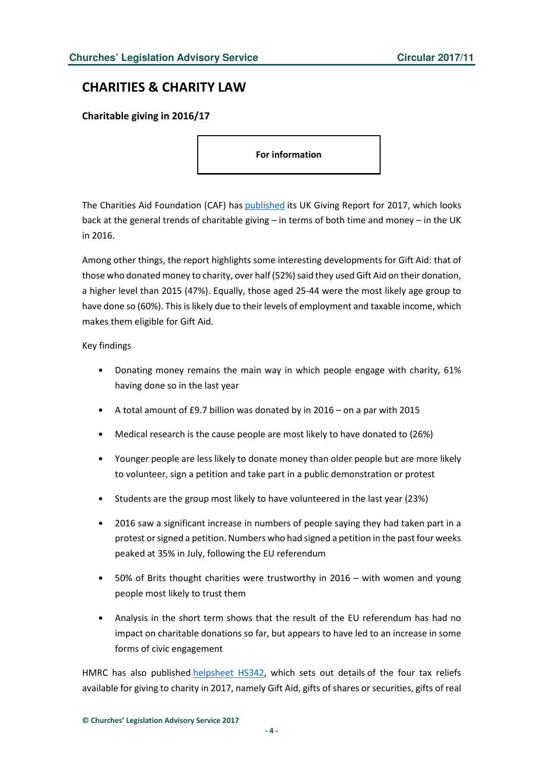# CHARITIES & CHARITY LAW

Charitable giving in 2016/17

For information

The Charities Aid Foundation (CAF) has published its UK Giving Report for 2017, which looks back at the general trends of charitable giving – in terms of both time and money – in the UK in 2016.

Among other things, the report highlights some interesting developments for Gift Aid: that of those who donated money to charity, over half (52%) said they used Gift Aid on their donation, a higher level than 2015 (47%). Equally, those aged 25-44 were the most likely age group to have done so (60%). This is likely due to their levels of employment and taxable income, which makes them eligible for Gift Aid.

Key findings

- Donating money remains the main way in which people engage with charity, 61% having done so in the last year
- A total amount of £9.7 billion was donated by in 2016 on a par with 2015
- Medical research is the cause people are most likely to have donated to (26%)
- Younger people are less likely to donate money than older people but are more likely to volunteer, sign a petition and take part in a public demonstration or protest
- Students are the group most likely to have volunteered in the last year (23%)
- 2016 saw a significant increase in numbers of people saying they had taken part in a protest or signed a petition. Numbers who had signed a petition in the past four weeks peaked at 35% in July, following the EU referendum
- 50% of Brits thought charities were trustworthy in  $2016 -$  with women and young people most likely to trust them
- Analysis in the short term shows that the result of the EU referendum has had no impact on charitable donations so far, but appears to have led to an increase in some forms of civic engagement

HMRC has also published helpsheet HS342, which sets out details of the four tax reliefs available for giving to charity in 2017, namely Gift Aid, gifts of shares or securities, gifts of real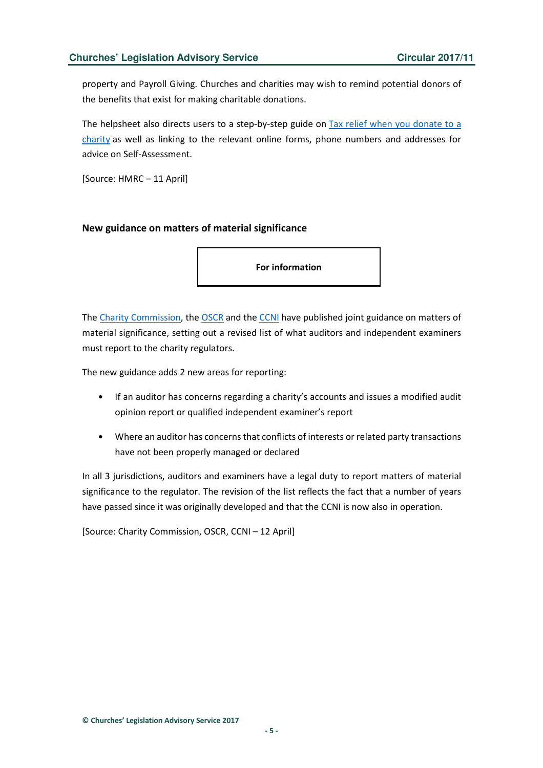property and Payroll Giving. Churches and charities may wish to remind potential donors of the benefits that exist for making charitable donations.

The helpsheet also directs users to a step-by-step guide on Tax relief when you donate to a charity as well as linking to the relevant online forms, phone numbers and addresses for advice on Self-Assessment.

[Source: HMRC – 11 April]

## New guidance on matters of material significance

For information

The Charity Commission, the OSCR and the CCNI have published joint guidance on matters of material significance, setting out a revised list of what auditors and independent examiners must report to the charity regulators.

The new guidance adds 2 new areas for reporting:

- If an auditor has concerns regarding a charity's accounts and issues a modified audit opinion report or qualified independent examiner's report
- Where an auditor has concerns that conflicts of interests or related party transactions have not been properly managed or declared

In all 3 jurisdictions, auditors and examiners have a legal duty to report matters of material significance to the regulator. The revision of the list reflects the fact that a number of years have passed since it was originally developed and that the CCNI is now also in operation.

[Source: Charity Commission, OSCR, CCNI – 12 April]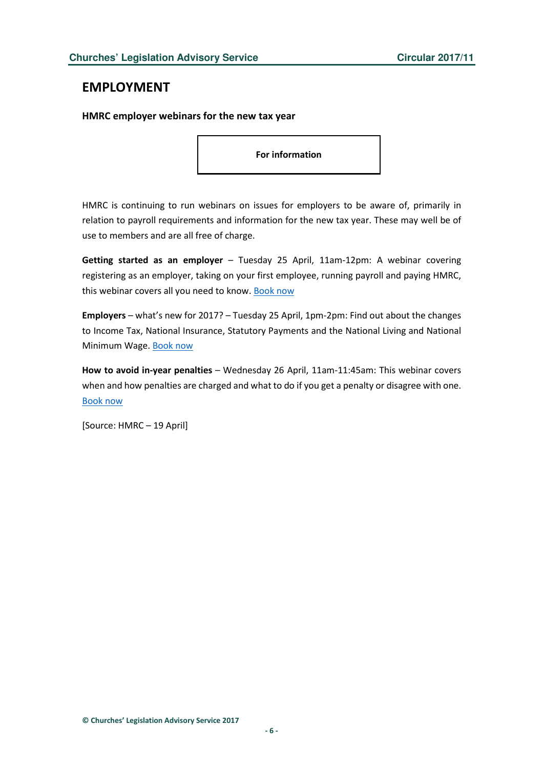# EMPLOYMENT

HMRC employer webinars for the new tax year

For information

HMRC is continuing to run webinars on issues for employers to be aware of, primarily in relation to payroll requirements and information for the new tax year. These may well be of use to members and are all free of charge.

Getting started as an employer – Tuesday 25 April, 11am-12pm: A webinar covering registering as an employer, taking on your first employee, running payroll and paying HMRC, this webinar covers all you need to know. Book now

Employers – what's new for 2017? – Tuesday 25 April, 1pm-2pm: Find out about the changes to Income Tax, National Insurance, Statutory Payments and the National Living and National Minimum Wage. Book now

How to avoid in-year penalties – Wednesday 26 April, 11am-11:45am: This webinar covers when and how penalties are charged and what to do if you get a penalty or disagree with one. Book now

[Source: HMRC – 19 April]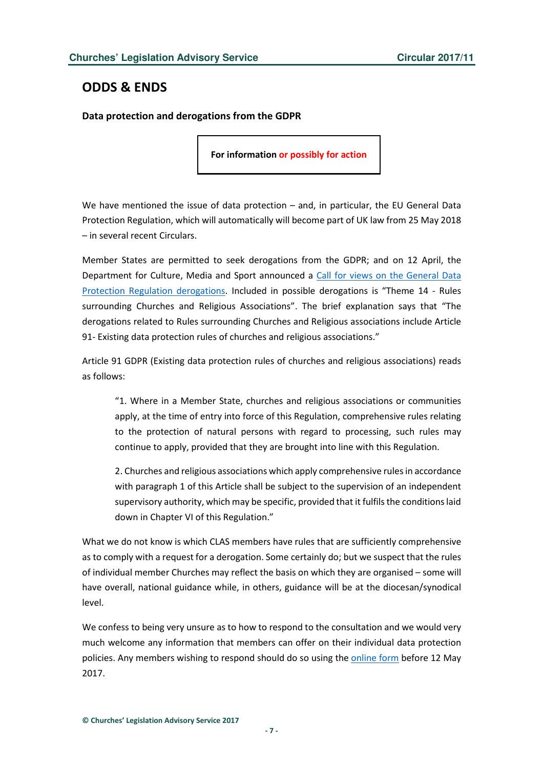# ODDS & ENDS

Data protection and derogations from the GDPR

For information or possibly for action

We have mentioned the issue of data protection – and, in particular, the EU General Data Protection Regulation, which will automatically will become part of UK law from 25 May 2018 – in several recent Circulars.

Member States are permitted to seek derogations from the GDPR; and on 12 April, the Department for Culture, Media and Sport announced a Call for views on the General Data Protection Regulation derogations. Included in possible derogations is "Theme 14 - Rules surrounding Churches and Religious Associations". The brief explanation says that "The derogations related to Rules surrounding Churches and Religious associations include Article 91- Existing data protection rules of churches and religious associations."

Article 91 GDPR (Existing data protection rules of churches and religious associations) reads as follows:

"1. Where in a Member State, churches and religious associations or communities apply, at the time of entry into force of this Regulation, comprehensive rules relating to the protection of natural persons with regard to processing, such rules may continue to apply, provided that they are brought into line with this Regulation.

2. Churches and religious associations which apply comprehensive rules in accordance with paragraph 1 of this Article shall be subject to the supervision of an independent supervisory authority, which may be specific, provided that it fulfils the conditions laid down in Chapter VI of this Regulation."

What we do not know is which CLAS members have rules that are sufficiently comprehensive as to comply with a request for a derogation. Some certainly do; but we suspect that the rules of individual member Churches may reflect the basis on which they are organised – some will have overall, national guidance while, in others, guidance will be at the diocesan/synodical level.

We confess to being very unsure as to how to respond to the consultation and we would very much welcome any information that members can offer on their individual data protection policies. Any members wishing to respond should do so using the online form before 12 May 2017.